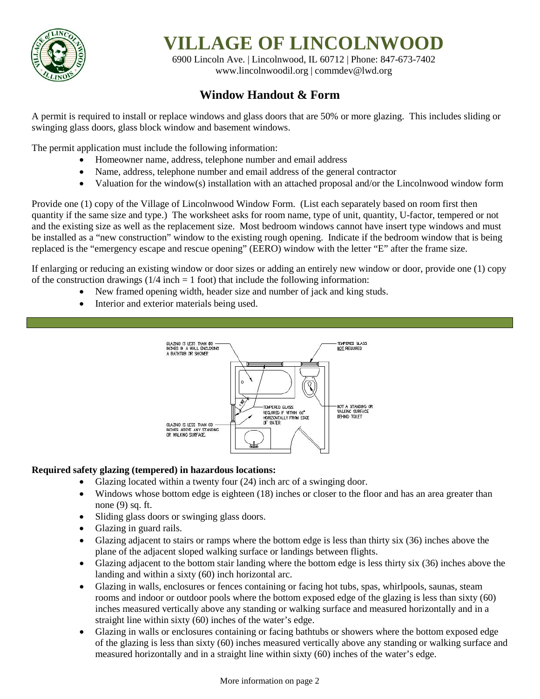

# **VILLAGE OF LINCOLNWOOD**

6900 Lincoln Ave. | Lincolnwood, IL 60712 | Phone: 847-673-7402 [www.lincolnwoodil.org](http://www.lincolnwoodil.org/) | commdev@lwd.org

## **Window Handout & Form**

A permit is required to install or replace windows and glass doors that are 50% or more glazing. This includes sliding or swinging glass doors, glass block window and basement windows.

The permit application must include the following information:

- Homeowner name, address, telephone number and email address
- Name, address, telephone number and email address of the general contractor
- Valuation for the window(s) installation with an attached proposal and/or the Lincolnwood window form

Provide one (1) copy of the Village of Lincolnwood Window Form. (List each separately based on room first then quantity if the same size and type.) The worksheet asks for room name, type of unit, quantity, U-factor, tempered or not and the existing size as well as the replacement size. Most bedroom windows cannot have insert type windows and must be installed as a "new construction" window to the existing rough opening. Indicate if the bedroom window that is being replaced is the "emergency escape and rescue opening" (EERO) window with the letter "E" after the frame size.

If enlarging or reducing an existing window or door sizes or adding an entirely new window or door, provide one (1) copy of the construction drawings  $(1/4$  inch  $= 1$  foot) that include the following information:

- New framed opening width, header size and number of jack and king studs.
- Interior and exterior materials being used.



### **Required safety glazing (tempered) in hazardous locations:**

- Glazing located within a twenty four (24) inch arc of a swinging door.
- Windows whose bottom edge is eighteen (18) inches or closer to the floor and has an area greater than none (9) sq. ft.
- Sliding glass doors or swinging glass doors.
- Glazing in guard rails.
- Glazing adjacent to stairs or ramps where the bottom edge is less than thirty six (36) inches above the plane of the adjacent sloped walking surface or landings between flights.
- Glazing adjacent to the bottom stair landing where the bottom edge is less thirty six (36) inches above the landing and within a sixty (60) inch horizontal arc.
- Glazing in walls, enclosures or fences containing or facing hot tubs, spas, whirlpools, saunas, steam rooms and indoor or outdoor pools where the bottom exposed edge of the glazing is less than sixty (60) inches measured vertically above any standing or walking surface and measured horizontally and in a straight line within sixty (60) inches of the water's edge.
- Glazing in walls or enclosures containing or facing bathtubs or showers where the bottom exposed edge of the glazing is less than sixty (60) inches measured vertically above any standing or walking surface and measured horizontally and in a straight line within sixty (60) inches of the water's edge.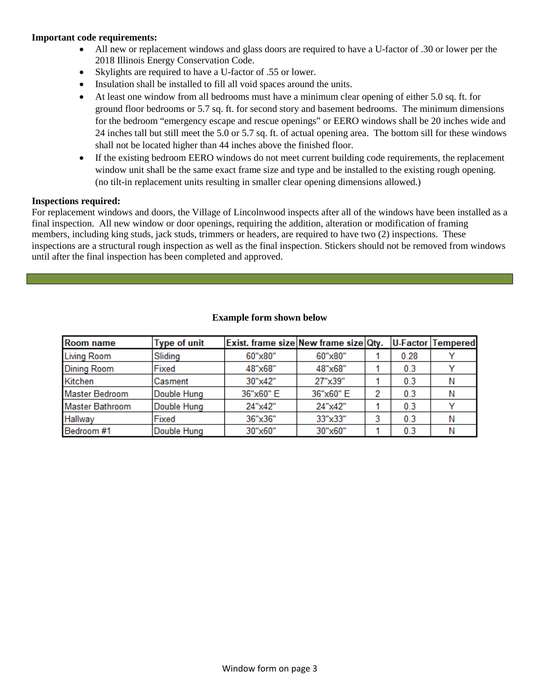#### **Important code requirements:**

- All new or replacement windows and glass doors are required to have a U-factor of .30 or lower per the 2018 Illinois Energy Conservation Code.
- Skylights are required to have a U-factor of .55 or lower.
- Insulation shall be installed to fill all void spaces around the units.
- At least one window from all bedrooms must have a minimum clear opening of either 5.0 sq. ft. for ground floor bedrooms or 5.7 sq. ft. for second story and basement bedrooms. The minimum dimensions for the bedroom "emergency escape and rescue openings" or EERO windows shall be 20 inches wide and 24 inches tall but still meet the 5.0 or 5.7 sq. ft. of actual opening area. The bottom sill for these windows shall not be located higher than 44 inches above the finished floor.
- If the existing bedroom EERO windows do not meet current building code requirements, the replacement window unit shall be the same exact frame size and type and be installed to the existing rough opening. (no tilt-in replacement units resulting in smaller clear opening dimensions allowed.)

#### **Inspections required:**

For replacement windows and doors, the Village of Lincolnwood inspects after all of the windows have been installed as a final inspection. All new window or door openings, requiring the addition, alteration or modification of framing members, including king studs, jack studs, trimmers or headers, are required to have two (2) inspections. These inspections are a structural rough inspection as well as the final inspection. Stickers should not be removed from windows until after the final inspection has been completed and approved.

| <b>Room name</b>       | <b>Type of unit</b> | Exist. frame size New frame size Qty. |           |      | U-Factor Tempered |
|------------------------|---------------------|---------------------------------------|-----------|------|-------------------|
| <b>Living Room</b>     | Sliding             | 60"x80"                               | 60"x80"   | 0.28 |                   |
| <b>Dining Room</b>     | Fixed               | 48"x68"                               | 48"x68"   | 0.3  |                   |
| Kitchen                | Casment             | 30"x42"                               | 27"x39"   | 0.3  |                   |
| <b>Master Bedroom</b>  | Double Hung         | 36"x60" E                             | 36"x60" E | 0.3  | N                 |
| <b>Master Bathroom</b> | Double Hung         | 24"x42"                               | 24"x42"   | 0.3  |                   |
| Hallway                | Fixed               | 36"x36"                               | 33"x33"   | 0.3  | N                 |
| Bedroom #1             | Double Hung         | 30"x60"                               | 30"x60"   | 0.3  |                   |

#### **Example form shown below**